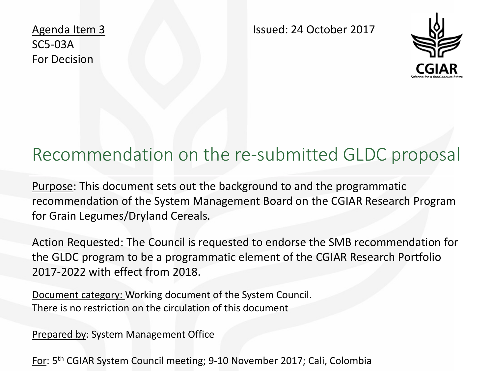Agenda Item 3 SC5-03A For Decision

Issued: 24 October 2017



#### Recommendation on the re-submitted GLDC proposal

Purpose: This document sets out the background to and the programmatic recommendation of the System Management Board on the CGIAR Research Program for Grain Legumes/Dryland Cereals.

Action Requested: The Council is requested to endorse the SMB recommendation for the GLDC program to be a programmatic element of the CGIAR Research Portfolio 2017-2022 with effect from 2018.

Document category: Working document of the System Council. There is no restriction on the circulation of this document

Prepared by: System Management Office

For: 5th CGIAR System Council meeting; 9-10 November 2017; Cali, Colombia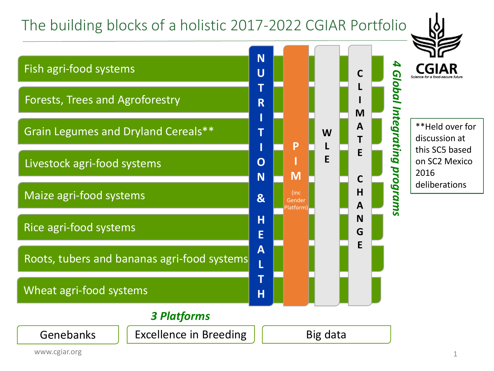### The building blocks of a holistic 2017-2022 CGIAR Portfolio

Genebanks  $\|\cdot\|$  Excellence in Breeding  $\|\cdot\|$  Big data





#### www.cgiar.org 1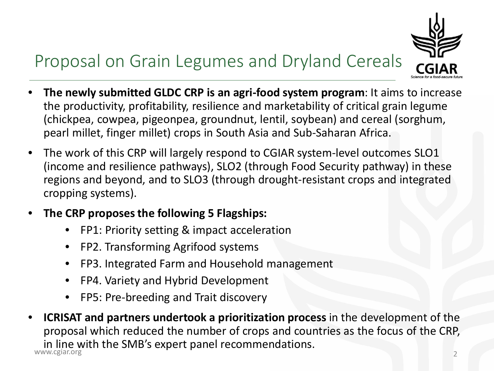# Proposal on Grain Legumes and Dryland Cereals



- **The newly submitted GLDC CRP is an agri-food system program**: It aims to increase the productivity, profitability, resilience and marketability of critical grain legume (chickpea, cowpea, pigeonpea, groundnut, lentil, soybean) and cereal (sorghum, pearl millet, finger millet) crops in South Asia and Sub-Saharan Africa.
- The work of this CRP will largely respond to CGIAR system-level outcomes SLO1 (income and resilience pathways), SLO2 (through Food Security pathway) in these regions and beyond, and to SLO3 (through drought-resistant crops and integrated cropping systems).
- **The CRP proposes the following 5 Flagships:**
	- FP1: Priority setting & impact acceleration
	- FP2. Transforming Agrifood systems
	- FP3. Integrated Farm and Household management
	- FP4. Variety and Hybrid Development
	- FP5: Pre-breeding and Trait discovery
- in line with the SMB's expert panel recommendations. • **ICRISAT and partners undertook a prioritization process** in the development of the proposal which reduced the number of crops and countries as the focus of the CRP, 2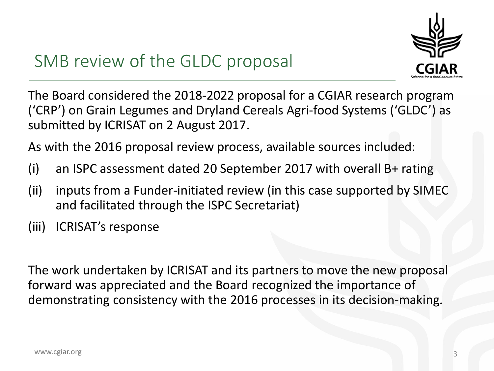

## SMB review of the GLDC proposal

The Board considered the 2018-2022 proposal for a CGIAR research program ('CRP') on Grain Legumes and Dryland Cereals Agri-food Systems ('GLDC') as submitted by ICRISAT on 2 August 2017.

As with the 2016 proposal review process, available sources included:

- (i) an ISPC assessment dated 20 September 2017 with overall B+ rating
- (ii) inputs from a Funder-initiated review (in this case supported by SIMEC and facilitated through the ISPC Secretariat)
- (iii) ICRISAT's response

The work undertaken by ICRISAT and its partners to move the new proposal forward was appreciated and the Board recognized the importance of demonstrating consistency with the 2016 processes in its decision-making.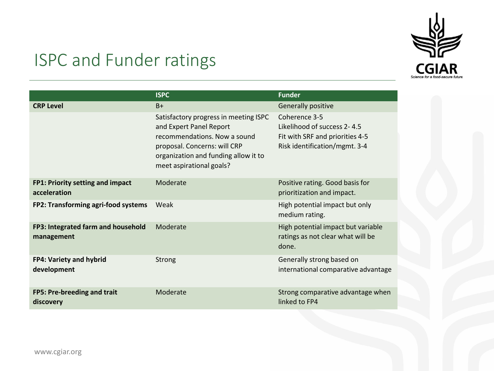

## ISPC and Funder ratings

|                                                  | <b>ISPC</b>                                                                                                                                                                                          | <b>Funder</b>                                                                                                    |  |
|--------------------------------------------------|------------------------------------------------------------------------------------------------------------------------------------------------------------------------------------------------------|------------------------------------------------------------------------------------------------------------------|--|
| <b>CRP Level</b>                                 | $B+$                                                                                                                                                                                                 | Generally positive                                                                                               |  |
|                                                  | Satisfactory progress in meeting ISPC<br>and Expert Panel Report<br>recommendations. Now a sound<br>proposal. Concerns: will CRP<br>organization and funding allow it to<br>meet aspirational goals? | Coherence 3-5<br>Likelihood of success 2-4.5<br>Fit with SRF and priorities 4-5<br>Risk identification/mgmt. 3-4 |  |
| FP1: Priority setting and impact<br>acceleration | Moderate                                                                                                                                                                                             | Positive rating. Good basis for<br>prioritization and impact.                                                    |  |
| FP2: Transforming agri-food systems              | Weak                                                                                                                                                                                                 | High potential impact but only<br>medium rating.                                                                 |  |
| FP3: Integrated farm and household<br>management | Moderate                                                                                                                                                                                             | High potential impact but variable<br>ratings as not clear what will be<br>done.                                 |  |
| <b>FP4: Variety and hybrid</b><br>development    | Strong                                                                                                                                                                                               | Generally strong based on<br>international comparative advantage                                                 |  |
| FP5: Pre-breeding and trait<br>discovery         | Moderate                                                                                                                                                                                             | Strong comparative advantage when<br>linked to FP4                                                               |  |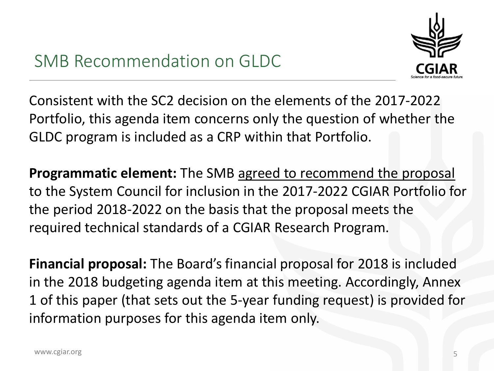

Consistent with the SC2 decision on the elements of the 2017-2022 Portfolio, this agenda item concerns only the question of whether the GLDC program is included as a CRP within that Portfolio.

**Programmatic element:** The SMB agreed to recommend the proposal to the System Council for inclusion in the 2017-2022 CGIAR Portfolio for the period 2018-2022 on the basis that the proposal meets the required technical standards of a CGIAR Research Program.

**Financial proposal:** The Board's financial proposal for 2018 is included in the 2018 budgeting agenda item at this meeting. Accordingly, Annex 1 of this paper (that sets out the 5-year funding request) is provided for information purposes for this agenda item only.